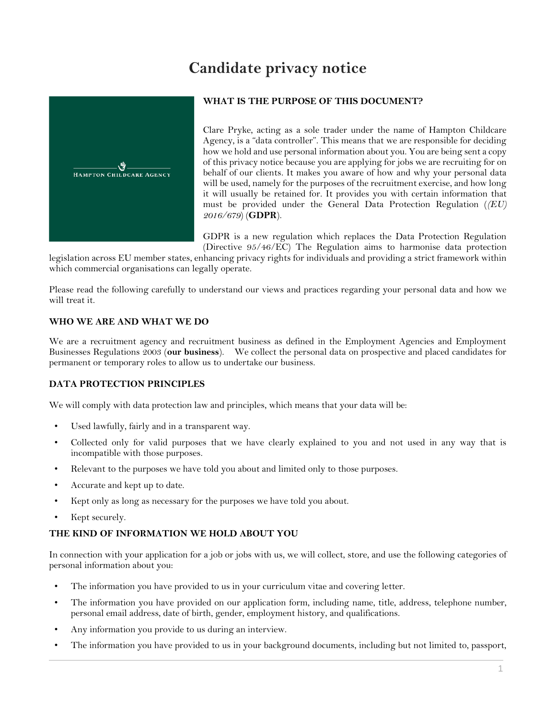# **Candidate privacy notice**



## **WHAT IS THE PURPOSE OF THIS DOCUMENT?**

Clare Pryke, acting as a sole trader under the name of Hampton Childcare Agency, is a "data controller". This means that we are responsible for deciding how we hold and use personal information about you. You are being sent a copy of this privacy notice because you are applying for jobs we are recruiting for on behalf of our clients. It makes you aware of how and why your personal data will be used, namely for the purposes of the recruitment exercise, and how long it will usually be retained for. It provides you with certain information that must be provided under the General Data Protection Regulation (*(EU) 2016/679*) (**GDPR**).

GDPR is a new regulation which replaces the Data Protection Regulation (Directive 95/46/EC) The Regulation aims to harmonise data protection

legislation across EU member states, enhancing privacy rights for individuals and providing a strict framework within which commercial organisations can legally operate.

Please read the following carefully to understand our views and practices regarding your personal data and how we will treat it.

## **WHO WE ARE AND WHAT WE DO**

We are a recruitment agency and recruitment business as defined in the Employment Agencies and Employment Businesses Regulations 2003 (**our business**). We collect the personal data on prospective and placed candidates for permanent or temporary roles to allow us to undertake our business.

## **DATA PROTECTION PRINCIPLES**

We will comply with data protection law and principles, which means that your data will be:

- Used lawfully, fairly and in a transparent way.
- Collected only for valid purposes that we have clearly explained to you and not used in any way that is incompatible with those purposes.
- Relevant to the purposes we have told you about and limited only to those purposes.
- Accurate and kept up to date.
- Kept only as long as necessary for the purposes we have told you about.
- Kept securely.

#### **THE KIND OF INFORMATION WE HOLD ABOUT YOU**

In connection with your application for a job or jobs with us, we will collect, store, and use the following categories of personal information about you:

- The information you have provided to us in your curriculum vitae and covering letter.
- The information you have provided on our application form, including name, title, address, telephone number, personal email address, date of birth, gender, employment history, and qualifications.
- Any information you provide to us during an interview.
- The information you have provided to us in your background documents, including but not limited to, passport,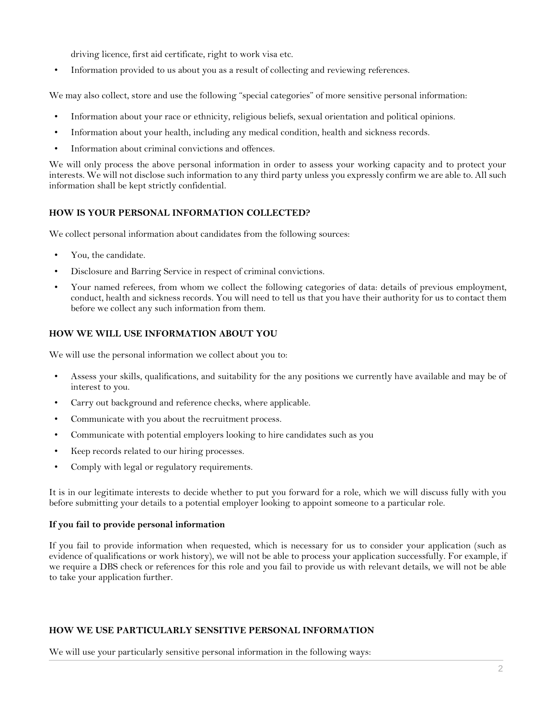driving licence, first aid certificate, right to work visa etc.

• Information provided to us about you as a result of collecting and reviewing references.

We may also collect, store and use the following "special categories" of more sensitive personal information:

- Information about your race or ethnicity, religious beliefs, sexual orientation and political opinions.
- Information about your health, including any medical condition, health and sickness records.
- Information about criminal convictions and offences.

We will only process the above personal information in order to assess your working capacity and to protect your interests. We will not disclose such information to any third party unless you expressly confirm we are able to. All such information shall be kept strictly confidential.

## **HOW IS YOUR PERSONAL INFORMATION COLLECTED?**

We collect personal information about candidates from the following sources:

- You, the candidate.
- Disclosure and Barring Service in respect of criminal convictions.
- Your named referees, from whom we collect the following categories of data: details of previous employment, conduct, health and sickness records. You will need to tell us that you have their authority for us to contact them before we collect any such information from them.

## **HOW WE WILL USE INFORMATION ABOUT YOU**

We will use the personal information we collect about you to:

- Assess your skills, qualifications, and suitability for the any positions we currently have available and may be of interest to you.
- Carry out background and reference checks, where applicable.
- Communicate with you about the recruitment process.
- Communicate with potential employers looking to hire candidates such as you
- Keep records related to our hiring processes.
- Comply with legal or regulatory requirements.

It is in our legitimate interests to decide whether to put you forward for a role, which we will discuss fully with you before submitting your details to a potential employer looking to appoint someone to a particular role.

#### **If you fail to provide personal information**

If you fail to provide information when requested, which is necessary for us to consider your application (such as evidence of qualifications or work history), we will not be able to process your application successfully. For example, if we require a DBS check or references for this role and you fail to provide us with relevant details, we will not be able to take your application further.

#### **HOW WE USE PARTICULARLY SENSITIVE PERSONAL INFORMATION**

We will use your particularly sensitive personal information in the following ways: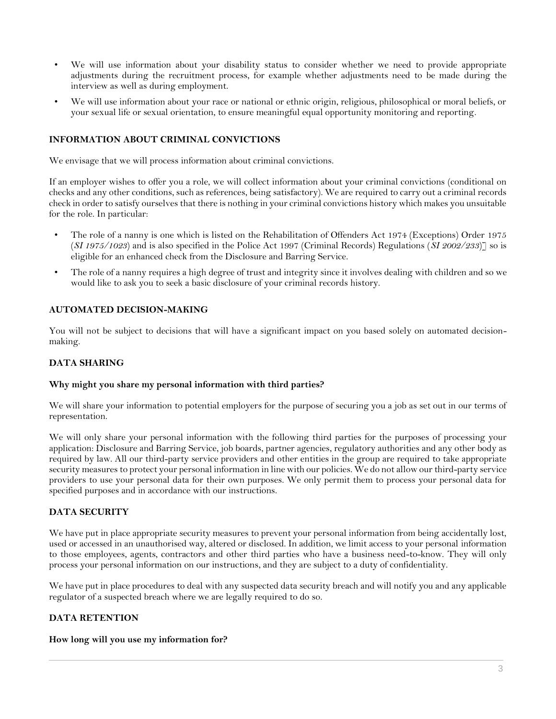- We will use information about your disability status to consider whether we need to provide appropriate adjustments during the recruitment process, for example whether adjustments need to be made during the interview as well as during employment.
- We will use information about your race or national or ethnic origin, religious, philosophical or moral beliefs, or your sexual life or sexual orientation, to ensure meaningful equal opportunity monitoring and reporting.

## **INFORMATION ABOUT CRIMINAL CONVICTIONS**

We envisage that we will process information about criminal convictions.

If an employer wishes to offer you a role, we will collect information about your criminal convictions (conditional on checks and any other conditions, such as references, being satisfactory). We are required to carry out a criminal records check in order to satisfy ourselves that there is nothing in your criminal convictions history which makes you unsuitable for the role. In particular:

- The role of a nanny is one which is listed on the Rehabilitation of Offenders Act 1974 (Exceptions) Order 1975 (*SI 1975/1023*) and is also specified in the Police Act 1997 (Criminal Records) Regulations (*SI 2002/233*)] so is eligible for an enhanced check from the Disclosure and Barring Service.
- The role of a nanny requires a high degree of trust and integrity since it involves dealing with children and so we would like to ask you to seek a basic disclosure of your criminal records history.

#### **AUTOMATED DECISION-MAKING**

You will not be subject to decisions that will have a significant impact on you based solely on automated decisionmaking.

#### **DATA SHARING**

## **Why might you share my personal information with third parties?**

We will share your information to potential employers for the purpose of securing you a job as set out in our terms of representation.

We will only share your personal information with the following third parties for the purposes of processing your application: Disclosure and Barring Service, job boards, partner agencies, regulatory authorities and any other body as required by law. All our third-party service providers and other entities in the group are required to take appropriate security measures to protect your personal information in line with our policies. We do not allow our third-party service providers to use your personal data for their own purposes. We only permit them to process your personal data for specified purposes and in accordance with our instructions.

## **DATA SECURITY**

We have put in place appropriate security measures to prevent your personal information from being accidentally lost, used or accessed in an unauthorised way, altered or disclosed. In addition, we limit access to your personal information to those employees, agents, contractors and other third parties who have a business need-to-know. They will only process your personal information on our instructions, and they are subject to a duty of confidentiality.

We have put in place procedures to deal with any suspected data security breach and will notify you and any applicable regulator of a suspected breach where we are legally required to do so.

#### **DATA RETENTION**

#### **How long will you use my information for?**